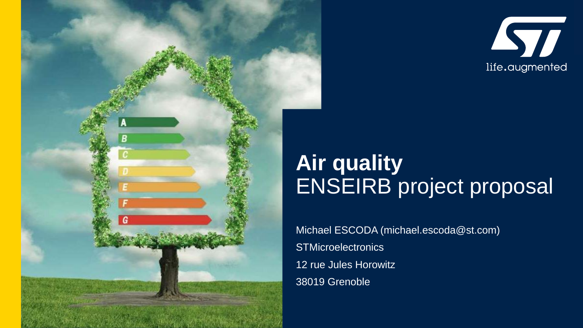



## **Air quality** ENSEIRB project proposal

Michael ESCODA (michael.escoda@st.com) **STMicroelectronics** 12 rue Jules Horowitz 38019 Grenoble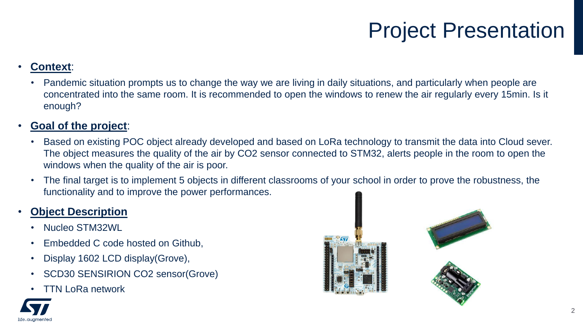## Project Presentation

#### • **Context**:

• Pandemic situation prompts us to change the way we are living in daily situations, and particularly when people are concentrated into the same room. It is recommended to open the windows to renew the air regularly every 15min. Is it enough?

#### • **Goal of the project**:

- Based on existing POC object already developed and based on LoRa technology to transmit the data into Cloud sever. The object measures the quality of the air by CO2 sensor connected to STM32, alerts people in the room to open the windows when the quality of the air is poor.
- The final target is to implement 5 objects in different classrooms of your school in order to prove the robustness, the functionality and to improve the power performances.

#### • **Object Description**

- Nucleo STM32WL
- Embedded C code hosted on Github,
- Display 1602 LCD display(Grove),
- SCD30 SENSIRION CO2 sensor(Grove)
- TTN LoRa network



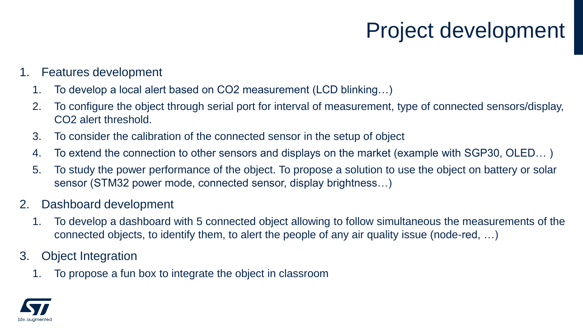## Project development

### 1. Features development

- 1. To develop a local alert based on CO2 measurement (LCD blinking…)
- 2. To configure the object through serial port for interval of measurement, type of connected sensors/display, CO2 alert threshold.
- 3. To consider the calibration of the connected sensor in the setup of object
- 4. To extend the connection to other sensors and displays on the market (example with SGP30, OLED… )
- 5. To study the power performance of the object. To propose a solution to use the object on battery or solar sensor (STM32 power mode, connected sensor, display brightness…)
- 2. Dashboard development
	- 1. To develop a dashboard with 5 connected object allowing to follow simultaneous the measurements of the connected objects, to identify them, to alert the people of any air quality issue (node-red, …)
- 3. Object Integration
	- 1. To propose a fun box to integrate the object in classroom

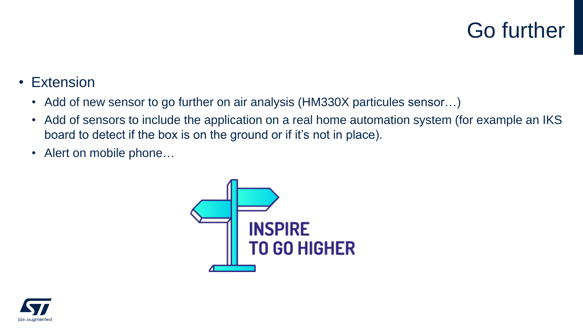## Go further

- Extension
	- Add of new sensor to go further on air analysis (HM330X particules sensor...)
	- Add of sensors to include the application on a real home automation system (for example an IKS board to detect if the box is on the ground or if it's not in place).
	- Alert on mobile phone...